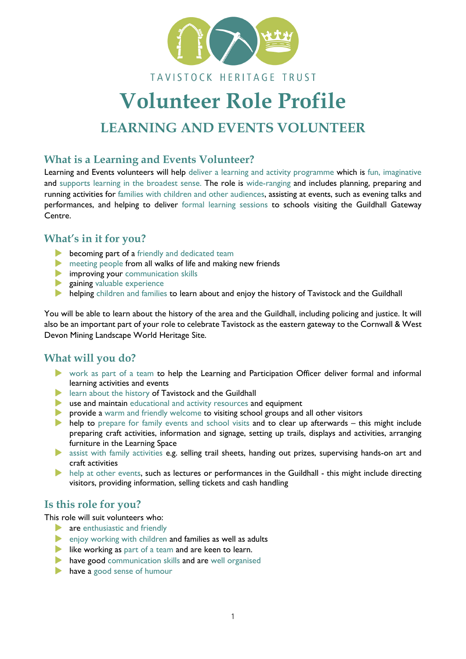

### TAVISTOCK HERITAGE TRUST

# **Volunteer Role Profile**

## **LEARNING AND EVENTS VOLUNTEER**

#### **What is a Learning and Events Volunteer?**

Learning and Events volunteers will help deliver a learning and activity programme which is fun, imaginative and supports learning in the broadest sense. The role is wide-ranging and includes planning, preparing and running activities for families with children and other audiences, assisting at events, such as evening talks and performances, and helping to deliver formal learning sessions to schools visiting the Guildhall Gateway Centre.

#### **What's in it for you?**

- **becoming part of a** friendly and dedicated team
- **EX MEET FROM MANUS** meeting people from all walks of life and making new friends
- **Improving your communication skills**
- **Expaining valuable experience**
- helping children and families to learn about and enjoy the history of Tavistock and the Guildhall

You will be able to learn about the history of the area and the Guildhall, including policing and justice. It will also be an important part of your role to celebrate Tavistock as the eastern gateway to the Cornwall & West Devon Mining Landscape World Heritage Site.

#### **What will you do?**

- work as part of a team to help the Learning and Participation Officer deliver formal and informal learning activities and events
- **IDED** learn about the history of Tavistock and the Guildhall
- use and maintain educational and activity resources and equipment
- provide a warm and friendly welcome to visiting school groups and all other visitors
- help to prepare for family events and school visits and to clear up afterwards this might include preparing craft activities, information and signage, setting up trails, displays and activities, arranging furniture in the Learning Space
- assist with family activities e.g. selling trail sheets, handing out prizes, supervising hands-on art and craft activities
- help at other events, such as lectures or performances in the Guildhall this might include directing visitors, providing information, selling tickets and cash handling

#### **Is this role for you?**

This role will suit volunteers who:

- **are enthusiastic and friendly**
- enjoy working with children and families as well as adults
- like working as part of a team and are keen to learn.
- have good communication skills and are well organised
- **have a good sense of humour**